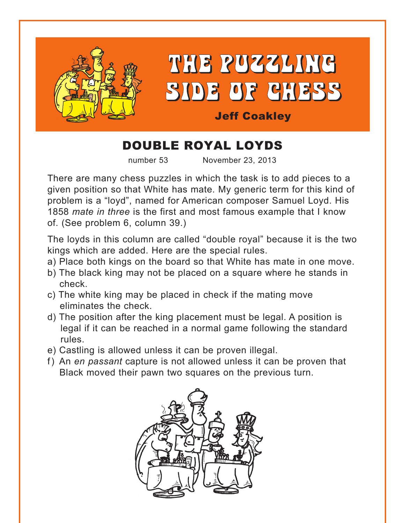

# DOUBLE ROYAL LOYDS

number 53 November 23, 2013

There are many chess puzzles in which the task is to add pieces to a given position so that White has mate. My generic term for this kind of problem is a "loyd", named for American composer Samuel Loyd. His 1858 *mate in three* is the first and most famous example that I know of. (See problem 6, column 39.)

The loyds in this column are called "double royal" because it is the two kings which are added. Here are the special rules.

- a) Place both kings on the board so that White has mate in one move.
- b) The black king may not be placed on a square where he stands in check.
- c) The white king may be placed in check if the mating move eliminates the check.
- d) The position after the king placement must be legal. A position is legal if it can be reached in a normal game following the standard rules.
- e) Castling is allowed unless it can be proven illegal.
- f) An *en passant* capture is not allowed unless it can be proven that Black moved their pawn two squares on the previous turn.

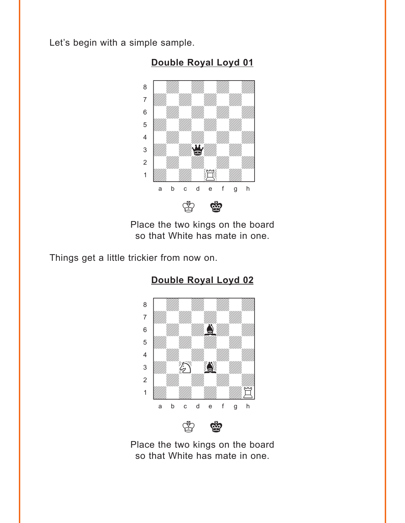<span id="page-1-0"></span>Let's begin with a simple sample.



**[Double Royal Loyd 01](#page-8-0)**

Place the two kings on the board so that White has mate in one.

Things get a little trickier from now on.



## **[Double Royal Loyd 02](#page-8-0)**

 $\mathfrak{B}$   $\mathfrak{B}$ 

Place the two kings on the board so that White has mate in one.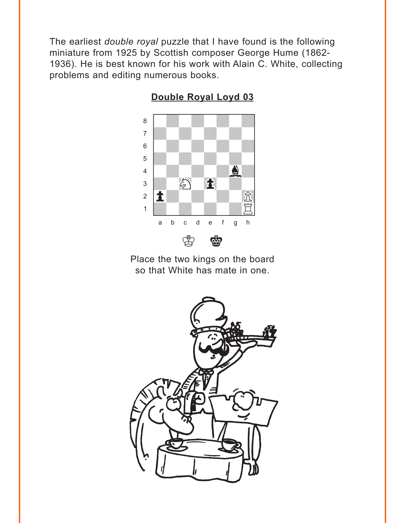<span id="page-2-0"></span>The earliest double royal puzzle that I have found is the following miniature from 1925 by Scottish composer George Hume (1862-1936). He is best known for his work with Alain C. White, collecting problems and editing numerous books.



Double Royal Loyd 03

Place the two kings on the board so that White has mate in one.

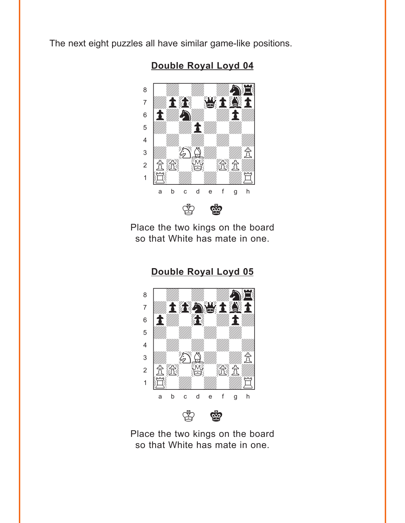<span id="page-3-0"></span>The next eight puzzles all have similar game-like positions.



**[Double Royal Loyd 04](#page-10-0)**

Place the two kings on the board so that White has mate in one.

**[Double Royal Loyd 05](#page-11-0)**

where  $\frac{w}{2}$  is the set of  $\frac{w}{2}$  $\delta$  and  $\delta$  and  $\delta$  and  $\delta$  and  $\delta$  and  $\delta$  and  $\delta$  and  $\delta$  and  $\delta$  and  $\delta$  and  $\delta$  and  $\delta$  and  $\delta$  and  $\delta$  and  $\delta$  and  $\delta$  and  $\delta$  and  $\delta$  and  $\delta$  and  $\delta$  and  $\delta$  and  $\delta$  and  $\delta$  and  $\delta$  and  $\delta$  **To the Light of the Light of The Property Light of The Property Light of The Property Light of The Property Lig**  $\mathbf{S}$   $\mathbf{E}$   $\mathbf{E}$   $\mathbf{E}$   $\mathbf{E}$  $\overline{\mathcal{L}}$ 4 William William William William  $\frac{1}{2}$ 2 贪赏 蟹发 1 SEMINYA WA WASHINGTON a b c d e f g h

 $\circledS$   $\circledR$ 

Place the two kings on the board so that White has mate in one.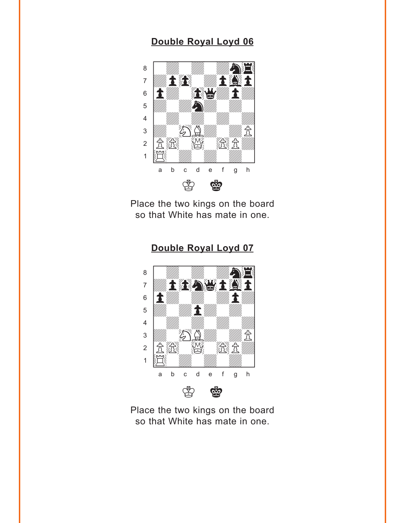<span id="page-4-0"></span>

Place the two kings on the board so that White has mate in one.



Place the two kings on the board so that White has mate in one.

#### **[Double Royal Loyd 07](#page-12-0)**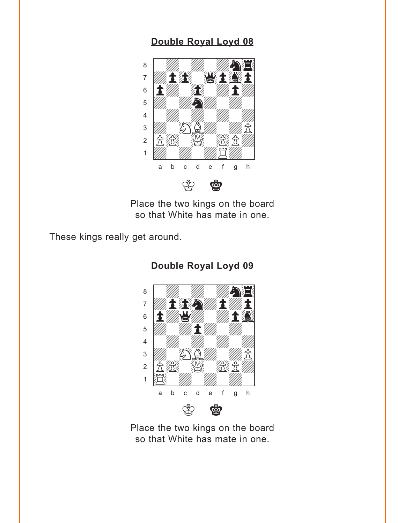<span id="page-5-0"></span>

Place the two kings on the board so that White has mate in one.

These kings really get around.



**[Double Royal Loyd 09](#page-13-0)**

Place the two kings on the board so that White has mate in one.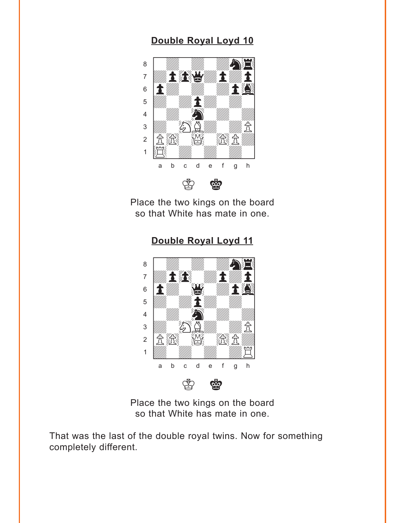<span id="page-6-0"></span>

Place the two kings on the board so that White has mate in one.

**[Double Royal Loyd 11](#page-14-0)** where  $\frac{w_{\text{max}} - w_{\text{max}} - w_{\text{max}}}{w_{\text{max}} - w_{\text{max}} - w_{\text{max}}}$ 



Place the two kings on the board so that White has mate in one.

That was the last of the double royal twins. Now for something completely different.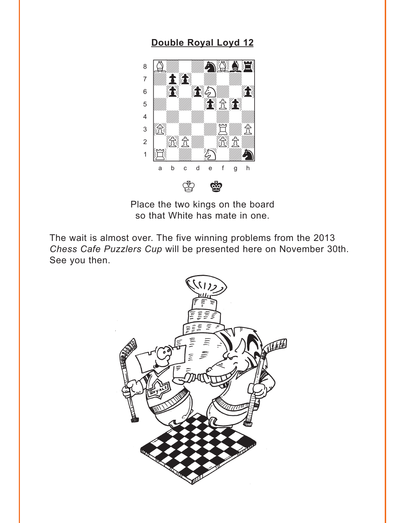<span id="page-7-0"></span>

Place the two kings on the board so that White has mate in one.

The wait is almost over. The five winning problems from the 2013 Chess Cafe Puzzlers Cup will be presented here on November 30th. See you then.

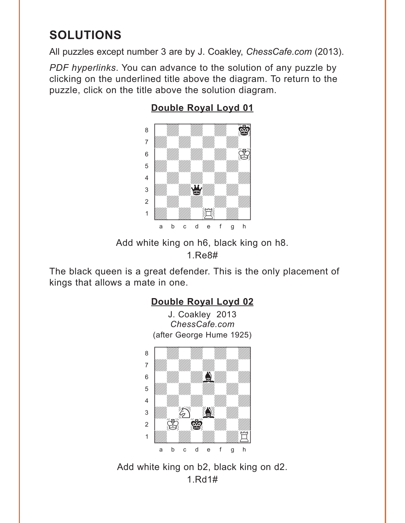# <span id="page-8-0"></span>**SOLUTIONS**

All puzzles except number 3 are by J. Coakley, *ChessCafe.com* (2013).

*PDF hyperlinks*. You can advance to the solution of any puzzle by clicking on the underlined title above the diagram. To return to the puzzle, click on the title above the solution diagram.



## **[Double Royal Loyd 01](#page-1-0)**

Add white king on h6, black king on h8.

1.Re8#

The black queen is a great defender. This is the only placement of kings that allows a mate in one.



Add white king on b2, black king on d2. 1.Rd1#

 $\sim$  00  $\sim$  00  $\sim$  00  $\sim$  00  $\sim$ 1 William William William Hotel a b c d e f g h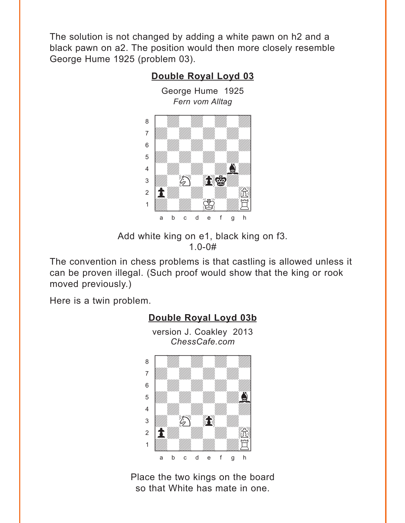<span id="page-9-0"></span>The solution is not changed by adding a white pawn on h2 and a black pawn on a2. The position would then more closely resemble George Hume 1925 (problem 03).

**[Double Royal Loyd 03](#page-2-0)**

#### George Hume 1925 *Fern vom Alltag* where  $\frac{1}{2}$  is the contribution of  $\frac{1}{2}$ a Milliam Milliam Milliam Milliam Milliam Milliam Milliam Milliam Milliam Milliam Milliam Milliam Milliam Mill adwadwadwadwadwadwadwadwadwadwadwa  $\begin{bmatrix} \begin{array}{ccc} \text{S} & \text{S} \end{array} & \text{S} & \text{S} & \text{S} & \text{S} & \text{S} & \text{S} & \text{S} & \text{S} & \text{S} & \text{S} & \text{S} & \text{S} & \text{S} & \text{S} & \text{S} & \text{S} & \text{S} & \text{S} & \text{S} & \text{S} & \text{S} & \text{S} & \text{S} & \text{S} & \text{S} & \text{S} & \text{S} & \text{S} & \text{S} & \text{S} & \text{S} & \text{S$ 5 *VIII. VIII. VIII.* 4 | *William William William De West*  $\frac{1}{2}$  $\mathbf{E} = \mathbf{E}$  and  $\mathbf{E} = \mathbf{E}$  $\left\{\begin{matrix}1\\1\end{matrix}\right\}$ a b c d e f g h

Add white king on e1, black king on f3.

1.0-0#

The convention in chess problems is that castling is allowed unless it can be proven illegal. (Such proof would show that the king or rook moved previously.)

Here is a twin problem.





## **[Double Royal Loyd 03b](#page-10-0)**

version J. Coakley 2013 *ChessCafe.com*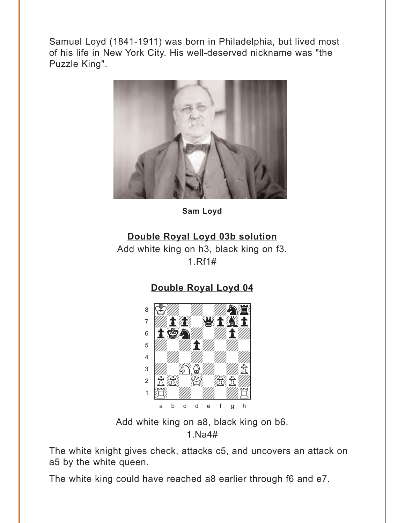<span id="page-10-0"></span>Samuel Loyd (1841-1911) was born in Philadelphia, but lived most of his life in New York City. His well-deserved nickname was "the Puzzle King".



Sam Loyd

### Double Royal Loyd 03b solution

Add white king on h3, black king on f3.  $1. Rf1#$ 

### Double Royal Loyd 04



Add white king on a8, black king on b6.

 $1.Na4#$ 

The white knight gives check, attacks c5, and uncovers an attack on a5 by the white queen.

The white king could have reached a8 earlier through f6 and e7.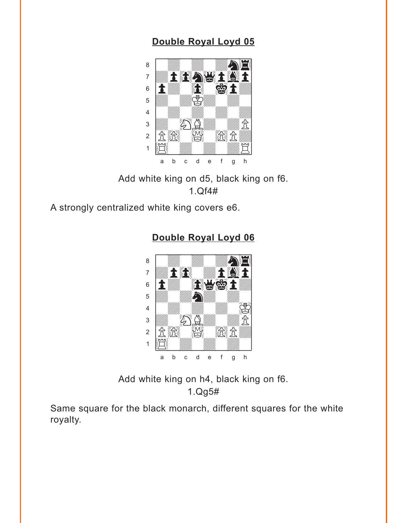<span id="page-11-0"></span>

Add white king on d5, black king on f6. 1.Qf4#

A strongly centralized white king covers e6.



**[Double Royal Loyd 06](#page-4-0)**

Add white king on h4, black king on f6. 1.Qg5#

Same square for the black monarch, different squares for the white royalty.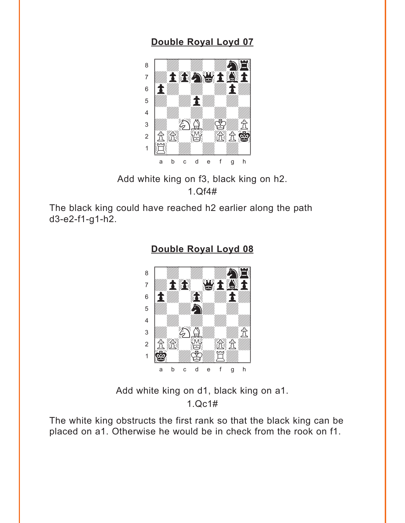<span id="page-12-0"></span>

Add white king on f3, black king on h2.  $1. Qf4#$ 

The black king could have reached h2 earlier along the path  $d3-e2-f1-g1-h2.$ 



#### Double Royal Loyd 08

Add white king on d1, black king on a1.  $1.0c1#$ 

The white king obstructs the first rank so that the black king can be placed on a1. Otherwise he would be in check from the rook on f1.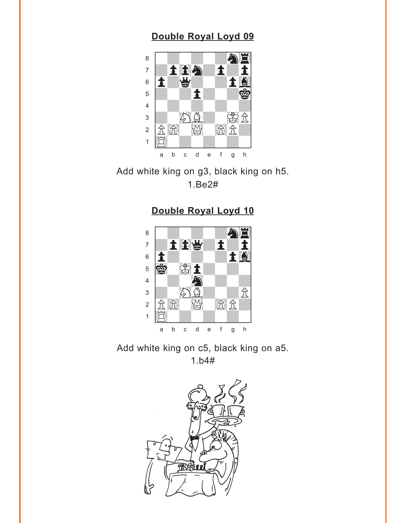<span id="page-13-0"></span>

Add white king on g3, black king on h5. 1.Be2#

### **[Double Royal Loyd 10](#page-6-0)**



Add white king on c5, black king on a5. 1.b4#

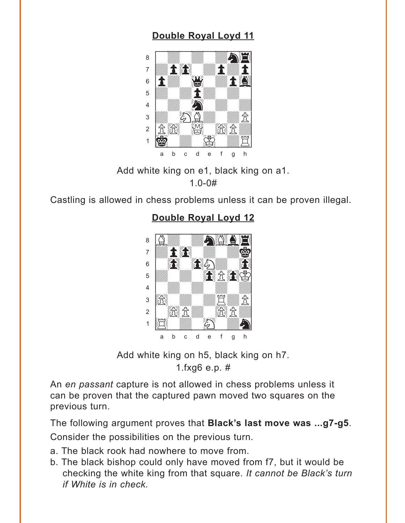<span id="page-14-0"></span>

Add white king on e1, black king on a1.  $1.0 - 0#$ 

Castling is allowed in chess problems unless it can be proven illegal.

#### **Double Royal Loyd 12**



Add white king on h5, black king on h7. 1. $f$ xg6 e.p. #

An en passant capture is not allowed in chess problems unless it can be proven that the captured pawn moved two squares on the previous turn.

The following argument proves that Black's last move was ...g7-g5. Consider the possibilities on the previous turn.

- a. The black rook had nowhere to move from.
- b. The black bishop could only have moved from f7, but it would be checking the white king from that square. It cannot be Black's turn if White is in check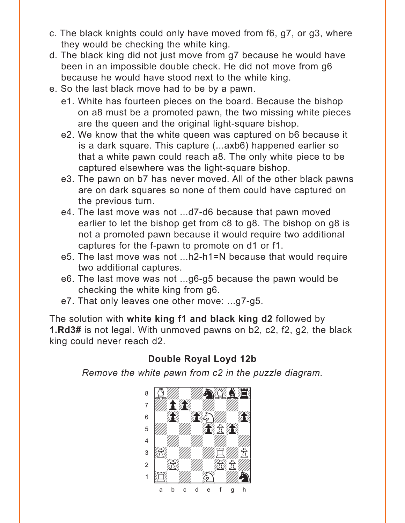- <span id="page-15-0"></span>c. The black knights could only have moved from f6, g7, or g3, where they would be checking the white king.
- d. The black king did not just move from g7 because he would have been in an impossible double check. He did not move from g6 because he would have stood next to the white king.
- e. So the last black move had to be by a pawn.
	- e1. White has fourteen pieces on the board. Because the bishop on a8 must be a promoted pawn, the two missing white pieces are the queen and the original light-square bishop.
	- e2. We know that the white queen was captured on b6 because it is a dark square. This capture (...axb6) happened earlier so that a white pawn could reach a8. The only white piece to be captured elsewhere was the light-square bishop.
	- e3. The pawn on b7 has never moved. All of the other black pawns are on dark squares so none of them could have captured on the previous turn.
	- e4. The last move was not ...d7-d6 because that pawn moved earlier to let the bishop get from c8 to g8. The bishop on g8 is not a promoted pawn because it would require two additional captures for the f-pawn to promote on d1 or f1.
	- e5. The last move was not ...h2-h1=N because that would require two additional captures.
	- e6. The last move was not ...g6-g5 because the pawn would be checking the white king from g6.
	- e7. That only leaves one other move: ...g7-g5.

The solution with **white king f1 and black king d2** followed by **1.Rd3#** is not legal. With unmoved pawns on b2, c2, f2, g2, the black king could never reach d2.

## **[Double Royal Loyd 12b](#page-16-0)**

*Remove the white pawn from c2 in the puzzle diagram.*